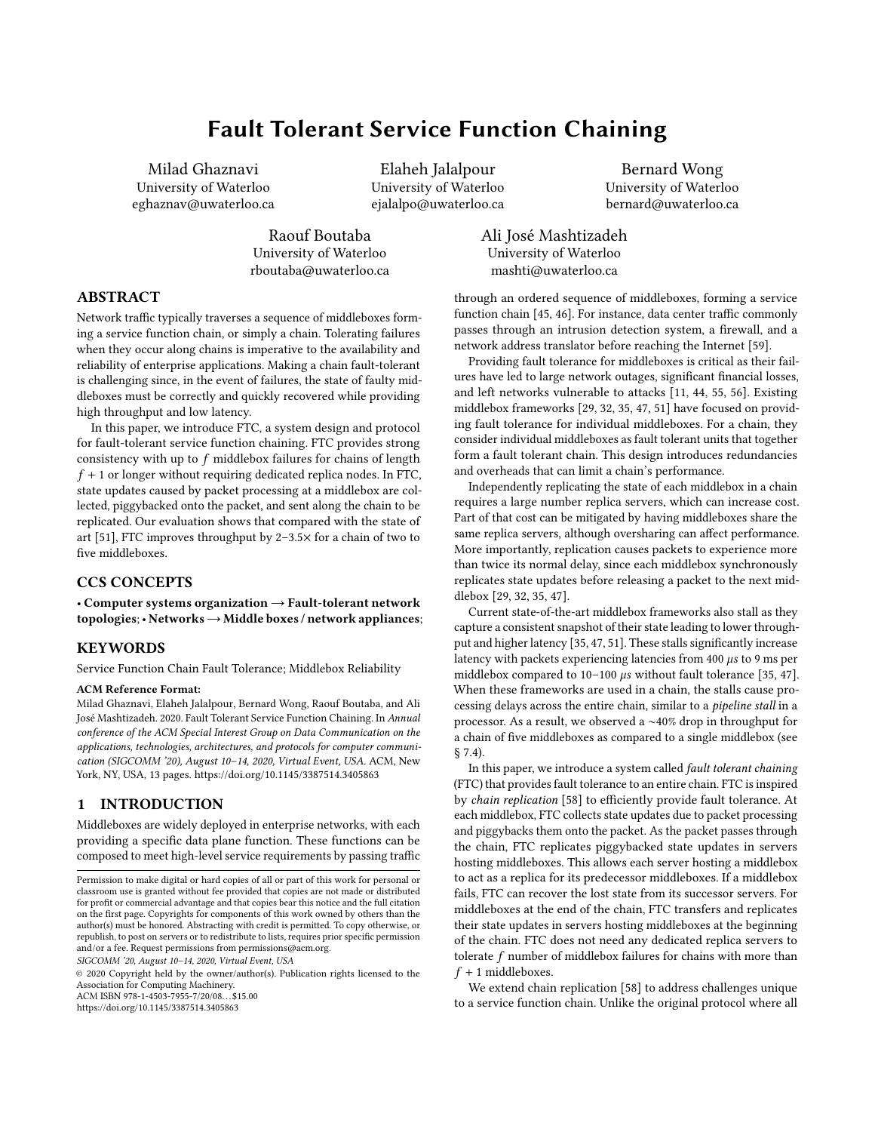# Fault Tolerant Service Function Chaining

Milad Ghaznavi University of Waterloo eghaznav@uwaterloo.ca

> Raouf Boutaba University of Waterloo rboutaba@uwaterloo.ca

Elaheh Jalalpour University of Waterloo ejalalpo@uwaterloo.ca

Bernard Wong University of Waterloo bernard@uwaterloo.ca

Ali José Mashtizadeh University of Waterloo mashti@uwaterloo.ca

# ABSTRACT

Network traffic typically traverses a sequence of middleboxes forming a service function chain, or simply a chain. Tolerating failures when they occur along chains is imperative to the availability and reliability of enterprise applications. Making a chain fault-tolerant is challenging since, in the event of failures, the state of faulty middleboxes must be correctly and quickly recovered while providing high throughput and low latency.

In this paper, we introduce FTC, a system design and protocol for fault-tolerant service function chaining. FTC provides strong consistency with up to  $f$  middlebox failures for chains of length  $f + 1$  or longer without requiring dedicated replica nodes. In FTC, state updates caused by packet processing at a middlebox are collected, piggybacked onto the packet, and sent along the chain to be replicated. Our evaluation shows that compared with the state of art [\[51\]](#page-12-0), FTC improves throughput by 2–3.5× for a chain of two to five middleboxes.

# CCS CONCEPTS

• Computer systems organization → Fault-tolerant network  $topologies$ ; • Networks  $\rightarrow$  Middle boxes / network appliances;

#### KEYWORDS

Service Function Chain Fault Tolerance; Middlebox Reliability

#### ACM Reference Format:

Milad Ghaznavi, Elaheh Jalalpour, Bernard Wong, Raouf Boutaba, and Ali José Mashtizadeh. 2020. Fault Tolerant Service Function Chaining. In Annual conference of the ACM Special Interest Group on Data Communication on the applications, technologies, architectures, and protocols for computer communication (SIGCOMM '20), August 10–14, 2020, Virtual Event, USA. ACM, New York, NY, USA, [13](#page-12-1) pages.<https://doi.org/10.1145/3387514.3405863>

#### 1 INTRODUCTION

Middleboxes are widely deployed in enterprise networks, with each providing a specific data plane function. These functions can be composed to meet high-level service requirements by passing traffic

SIGCOMM '20, August 10–14, 2020, Virtual Event, USA

© 2020 Copyright held by the owner/author(s). Publication rights licensed to the Association for Computing Machinery. ACM ISBN 978-1-4503-7955-7/20/08. . . \$15.00

<https://doi.org/10.1145/3387514.3405863>

through an ordered sequence of middleboxes, forming a service function chain [\[45,](#page-12-2) [46\]](#page-12-3). For instance, data center traffic commonly passes through an intrusion detection system, a firewall, and a network address translator before reaching the Internet [\[59\]](#page-12-4).

Providing fault tolerance for middleboxes is critical as their failures have led to large network outages, significant financial losses, and left networks vulnerable to attacks [\[11,](#page-11-0) [44,](#page-12-5) [55,](#page-12-6) [56\]](#page-12-7). Existing middlebox frameworks [\[29,](#page-11-1) [32,](#page-12-8) [35,](#page-12-9) [47,](#page-12-10) [51\]](#page-12-0) have focused on providing fault tolerance for individual middleboxes. For a chain, they consider individual middleboxes as fault tolerant units that together form a fault tolerant chain. This design introduces redundancies and overheads that can limit a chain's performance.

Independently replicating the state of each middlebox in a chain requires a large number replica servers, which can increase cost. Part of that cost can be mitigated by having middleboxes share the same replica servers, although oversharing can affect performance. More importantly, replication causes packets to experience more than twice its normal delay, since each middlebox synchronously replicates state updates before releasing a packet to the next middlebox [\[29,](#page-11-1) [32,](#page-12-8) [35,](#page-12-9) [47\]](#page-12-10).

Current state-of-the-art middlebox frameworks also stall as they capture a consistent snapshot of their state leading to lower throughput and higher latency [\[35,](#page-12-9) [47,](#page-12-10) [51\]](#page-12-0). These stalls significantly increase latency with packets experiencing latencies from 400 µs to 9 ms per middlebox compared to  $10-100 \mu s$  without fault tolerance [\[35,](#page-12-9) [47\]](#page-12-10). When these frameworks are used in a chain, the stalls cause processing delays across the entire chain, similar to a pipeline stall in a processor. As a result, we observed a ∼40% drop in throughput for a chain of five middleboxes as compared to a single middlebox (see § [7.4\)](#page-9-0).

In this paper, we introduce a system called fault tolerant chaining (FTC) that provides fault tolerance to an entire chain. FTC is inspired by chain replication [\[58\]](#page-12-11) to efficiently provide fault tolerance. At each middlebox, FTC collects state updates due to packet processing and piggybacks them onto the packet. As the packet passes through the chain, FTC replicates piggybacked state updates in servers hosting middleboxes. This allows each server hosting a middlebox to act as a replica for its predecessor middleboxes. If a middlebox fails, FTC can recover the lost state from its successor servers. For middleboxes at the end of the chain, FTC transfers and replicates their state updates in servers hosting middleboxes at the beginning of the chain. FTC does not need any dedicated replica servers to tolerate  $f$  number of middlebox failures for chains with more than  $f + 1$  middleboxes.

We extend chain replication [\[58\]](#page-12-11) to address challenges unique to a service function chain. Unlike the original protocol where all

Permission to make digital or hard copies of all or part of this work for personal or classroom use is granted without fee provided that copies are not made or distributed for profit or commercial advantage and that copies bear this notice and the full citation on the first page. Copyrights for components of this work owned by others than the author(s) must be honored. Abstracting with credit is permitted. To copy otherwise, or republish, to post on servers or to redistribute to lists, requires prior specific permission and/or a fee. Request permissions from permissions@acm.org.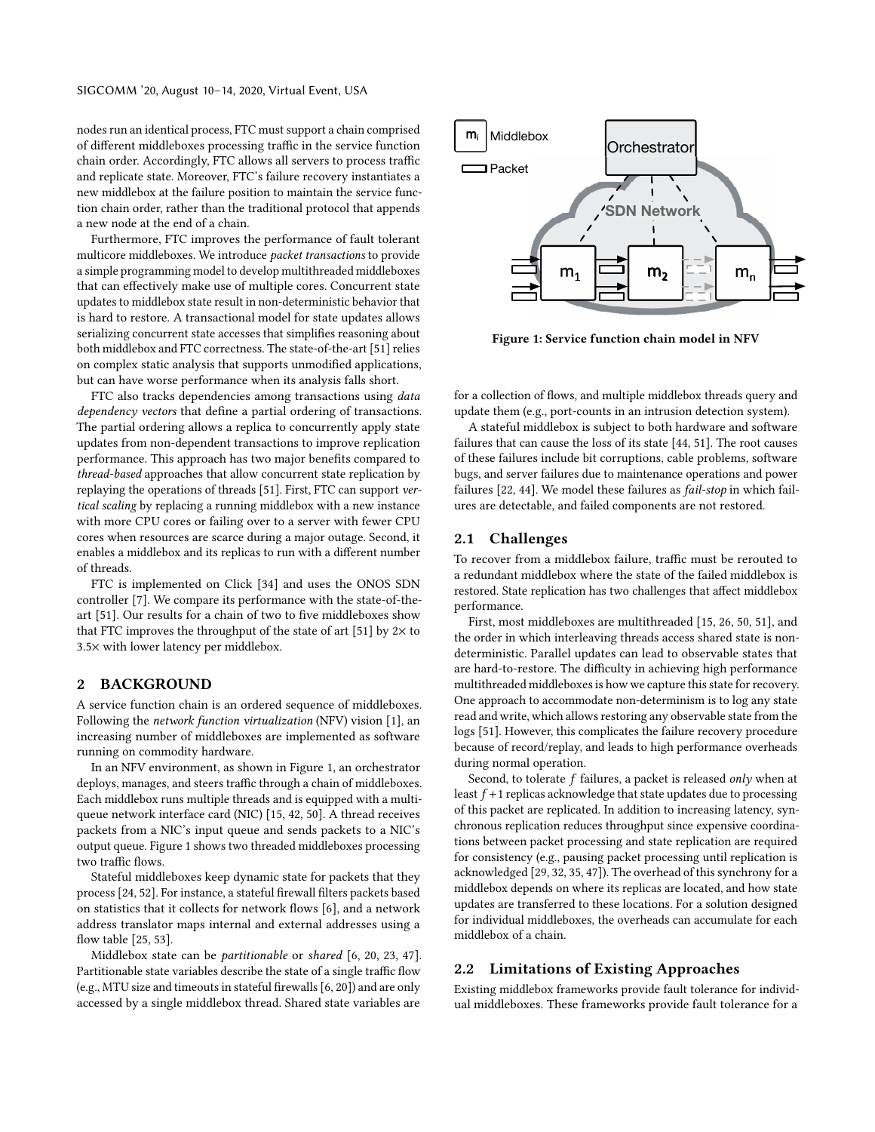nodes run an identical process, FTC must support a chain comprised of different middleboxes processing traffic in the service function chain order. Accordingly, FTC allows all servers to process traffic and replicate state. Moreover, FTC's failure recovery instantiates a new middlebox at the failure position to maintain the service function chain order, rather than the traditional protocol that appends a new node at the end of a chain.

Furthermore, FTC improves the performance of fault tolerant multicore middleboxes. We introduce packet transactions to provide a simple programming model to develop multithreaded middleboxes that can effectively make use of multiple cores. Concurrent state updates to middlebox state result in non-deterministic behavior that is hard to restore. A transactional model for state updates allows serializing concurrent state accesses that simplifies reasoning about both middlebox and FTC correctness. The state-of-the-art [\[51\]](#page-12-0) relies on complex static analysis that supports unmodified applications, but can have worse performance when its analysis falls short.

FTC also tracks dependencies among transactions using data dependency vectors that define a partial ordering of transactions. The partial ordering allows a replica to concurrently apply state updates from non-dependent transactions to improve replication performance. This approach has two major benefits compared to thread-based approaches that allow concurrent state replication by replaying the operations of threads [\[51\]](#page-12-0). First, FTC can support vertical scaling by replacing a running middlebox with a new instance with more CPU cores or failing over to a server with fewer CPU cores when resources are scarce during a major outage. Second, it enables a middlebox and its replicas to run with a different number of threads.

FTC is implemented on Click [\[34\]](#page-12-12) and uses the ONOS SDN controller [\[7\]](#page-11-2). We compare its performance with the state-of-theart [\[51\]](#page-12-0). Our results for a chain of two to five middleboxes show that FTC improves the throughput of the state of art [\[51\]](#page-12-0) by  $2 \times$  to 3.5× with lower latency per middlebox.

# 2 BACKGROUND

A service function chain is an ordered sequence of middleboxes. Following the network function virtualization (NFV) vision [\[1\]](#page-11-3), an increasing number of middleboxes are implemented as software running on commodity hardware.

In an NFV environment, as shown in Figure [1,](#page-1-0) an orchestrator deploys, manages, and steers traffic through a chain of middleboxes. Each middlebox runs multiple threads and is equipped with a multiqueue network interface card (NIC) [\[15,](#page-11-4) [42,](#page-12-13) [50\]](#page-12-14). A thread receives packets from a NIC's input queue and sends packets to a NIC's output queue. Figure [1](#page-1-0) shows two threaded middleboxes processing two traffic flows.

Stateful middleboxes keep dynamic state for packets that they process [\[24,](#page-11-5) [52\]](#page-12-15). For instance, a stateful firewall filters packets based on statistics that it collects for network flows [\[6\]](#page-11-6), and a network address translator maps internal and external addresses using a flow table [\[25,](#page-11-7) [53\]](#page-12-16).

Middlebox state can be partitionable or shared [\[6,](#page-11-6) [20,](#page-11-8) [23,](#page-11-9) [47\]](#page-12-10). Partitionable state variables describe the state of a single traffic flow (e.g., MTU size and timeouts in stateful firewalls [\[6,](#page-11-6) [20\]](#page-11-8)) and are only accessed by a single middlebox thread. Shared state variables are

<span id="page-1-0"></span>

Figure 1: Service function chain model in NFV

for a collection of flows, and multiple middlebox threads query and update them (e.g., port-counts in an intrusion detection system).

A stateful middlebox is subject to both hardware and software failures that can cause the loss of its state [\[44,](#page-12-5) [51\]](#page-12-0). The root causes of these failures include bit corruptions, cable problems, software bugs, and server failures due to maintenance operations and power failures [\[22,](#page-11-10) [44\]](#page-12-5). We model these failures as fail-stop in which failures are detectable, and failed components are not restored.

# 2.1 Challenges

To recover from a middlebox failure, traffic must be rerouted to a redundant middlebox where the state of the failed middlebox is restored. State replication has two challenges that affect middlebox performance.

First, most middleboxes are multithreaded [\[15,](#page-11-4) [26,](#page-11-11) [50,](#page-12-14) [51\]](#page-12-0), and the order in which interleaving threads access shared state is nondeterministic. Parallel updates can lead to observable states that are hard-to-restore. The difficulty in achieving high performance multithreaded middleboxes is how we capture this state for recovery. One approach to accommodate non-determinism is to log any state read and write, which allows restoring any observable state from the logs [\[51\]](#page-12-0). However, this complicates the failure recovery procedure because of record/replay, and leads to high performance overheads during normal operation.

Second, to tolerate  $f$  failures, a packet is released only when at least  $f + 1$  replicas acknowledge that state updates due to processing of this packet are replicated. In addition to increasing latency, synchronous replication reduces throughput since expensive coordinations between packet processing and state replication are required for consistency (e.g., pausing packet processing until replication is acknowledged [\[29,](#page-11-1) [32,](#page-12-8) [35,](#page-12-9) [47\]](#page-12-10)). The overhead of this synchrony for a middlebox depends on where its replicas are located, and how state updates are transferred to these locations. For a solution designed for individual middleboxes, the overheads can accumulate for each middlebox of a chain.

#### <span id="page-1-1"></span>2.2 Limitations of Existing Approaches

Existing middlebox frameworks provide fault tolerance for individual middleboxes. These frameworks provide fault tolerance for a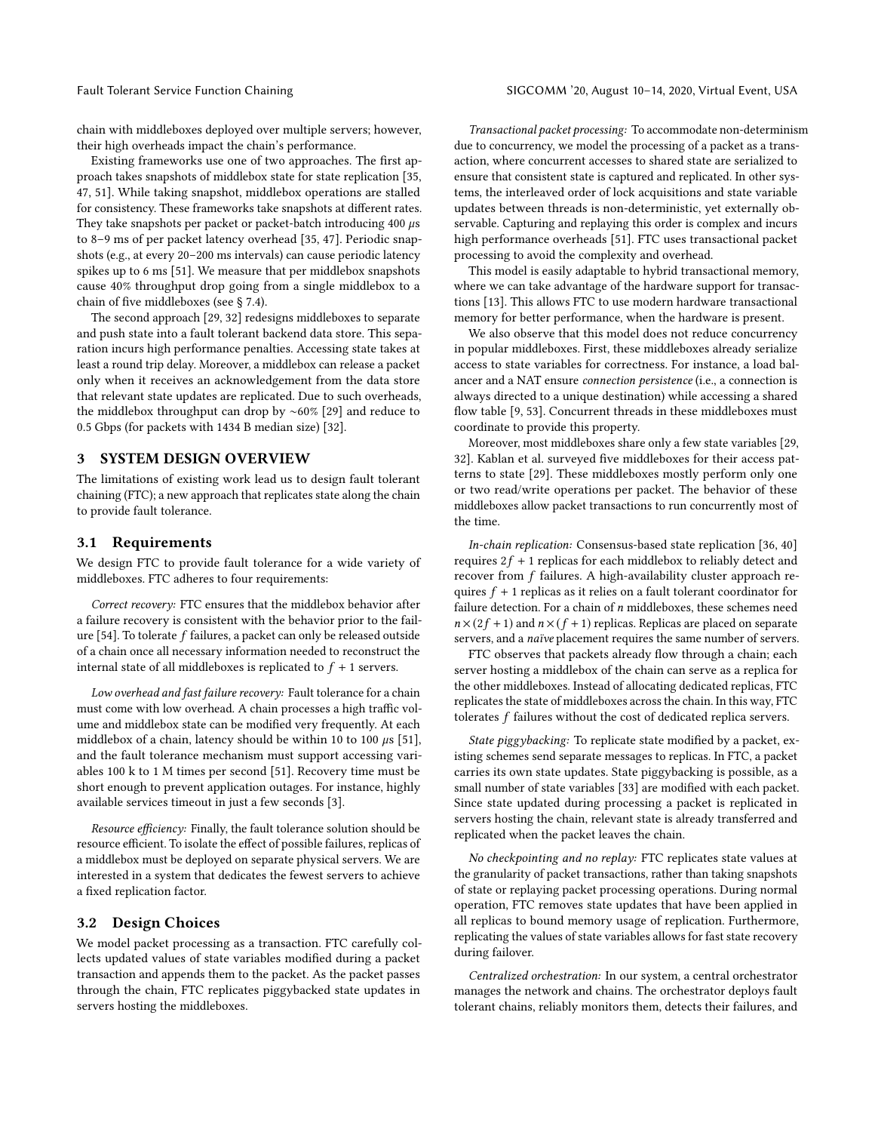chain with middleboxes deployed over multiple servers; however, their high overheads impact the chain's performance.

Existing frameworks use one of two approaches. The first approach takes snapshots of middlebox state for state replication [\[35,](#page-12-9) [47,](#page-12-10) [51\]](#page-12-0). While taking snapshot, middlebox operations are stalled for consistency. These frameworks take snapshots at different rates. They take snapshots per packet or packet-batch introducing 400  $\mu$ s to 8–9 ms of per packet latency overhead [\[35,](#page-12-9) [47\]](#page-12-10). Periodic snapshots (e.g., at every 20–200 ms intervals) can cause periodic latency spikes up to 6 ms [\[51\]](#page-12-0). We measure that per middlebox snapshots cause 40% throughput drop going from a single middlebox to a chain of five middleboxes (see § [7.4\)](#page-9-0).

The second approach [\[29,](#page-11-1) [32\]](#page-12-8) redesigns middleboxes to separate and push state into a fault tolerant backend data store. This separation incurs high performance penalties. Accessing state takes at least a round trip delay. Moreover, a middlebox can release a packet only when it receives an acknowledgement from the data store that relevant state updates are replicated. Due to such overheads, the middlebox throughput can drop by ∼60% [\[29\]](#page-11-1) and reduce to 0.5 Gbps (for packets with 1434 B median size) [\[32\]](#page-12-8).

### 3 SYSTEM DESIGN OVERVIEW

The limitations of existing work lead us to design fault tolerant chaining (FTC); a new approach that replicates state along the chain to provide fault tolerance.

#### 3.1 Requirements

We design FTC to provide fault tolerance for a wide variety of middleboxes. FTC adheres to four requirements:

Correct recovery: FTC ensures that the middlebox behavior after a failure recovery is consistent with the behavior prior to the failure [\[54\]](#page-12-17). To tolerate f failures, a packet can only be released outside of a chain once all necessary information needed to reconstruct the internal state of all middleboxes is replicated to  $f + 1$  servers.

Low overhead and fast failure recovery: Fault tolerance for a chain must come with low overhead. A chain processes a high traffic volume and middlebox state can be modified very frequently. At each middlebox of a chain, latency should be within 10 to 100  $\mu$ s [\[51\]](#page-12-0), and the fault tolerance mechanism must support accessing variables 100 k to 1 M times per second [\[51\]](#page-12-0). Recovery time must be short enough to prevent application outages. For instance, highly available services timeout in just a few seconds [\[3\]](#page-11-12).

Resource efficiency: Finally, the fault tolerance solution should be resource efficient. To isolate the effect of possible failures, replicas of a middlebox must be deployed on separate physical servers. We are interested in a system that dedicates the fewest servers to achieve a fixed replication factor.

### 3.2 Design Choices

We model packet processing as a transaction. FTC carefully collects updated values of state variables modified during a packet transaction and appends them to the packet. As the packet passes through the chain, FTC replicates piggybacked state updates in servers hosting the middleboxes.

Transactional packet processing: To accommodate non-determinism due to concurrency, we model the processing of a packet as a transaction, where concurrent accesses to shared state are serialized to ensure that consistent state is captured and replicated. In other systems, the interleaved order of lock acquisitions and state variable updates between threads is non-deterministic, yet externally observable. Capturing and replaying this order is complex and incurs high performance overheads [\[51\]](#page-12-0). FTC uses transactional packet processing to avoid the complexity and overhead.

This model is easily adaptable to hybrid transactional memory, where we can take advantage of the hardware support for transactions [\[13\]](#page-11-13). This allows FTC to use modern hardware transactional memory for better performance, when the hardware is present.

We also observe that this model does not reduce concurrency in popular middleboxes. First, these middleboxes already serialize access to state variables for correctness. For instance, a load balancer and a NAT ensure connection persistence (i.e., a connection is always directed to a unique destination) while accessing a shared flow table [\[9,](#page-11-14) [53\]](#page-12-16). Concurrent threads in these middleboxes must coordinate to provide this property.

Moreover, most middleboxes share only a few state variables [\[29,](#page-11-1) [32\]](#page-12-8). Kablan et al. surveyed five middleboxes for their access patterns to state [\[29\]](#page-11-1). These middleboxes mostly perform only one or two read/write operations per packet. The behavior of these middleboxes allow packet transactions to run concurrently most of the time.

In-chain replication: Consensus-based state replication [\[36,](#page-12-18) [40\]](#page-12-19) requires  $2f + 1$  replicas for each middlebox to reliably detect and recover from f failures. A high-availability cluster approach requires  $f + 1$  replicas as it relies on a fault tolerant coordinator for failure detection. For a chain of  $n$  middleboxes, these schemes need  $n \times (2f + 1)$  and  $n \times (f + 1)$  replicas. Replicas are placed on separate servers, and a naïve placement requires the same number of servers.

FTC observes that packets already flow through a chain; each server hosting a middlebox of the chain can serve as a replica for the other middleboxes. Instead of allocating dedicated replicas, FTC replicates the state of middleboxes across the chain. In this way, FTC tolerates f failures without the cost of dedicated replica servers.

State piggybacking: To replicate state modified by a packet, existing schemes send separate messages to replicas. In FTC, a packet carries its own state updates. State piggybacking is possible, as a small number of state variables [\[33\]](#page-12-20) are modified with each packet. Since state updated during processing a packet is replicated in servers hosting the chain, relevant state is already transferred and replicated when the packet leaves the chain.

No checkpointing and no replay: FTC replicates state values at the granularity of packet transactions, rather than taking snapshots of state or replaying packet processing operations. During normal operation, FTC removes state updates that have been applied in all replicas to bound memory usage of replication. Furthermore, replicating the values of state variables allows for fast state recovery during failover.

Centralized orchestration: In our system, a central orchestrator manages the network and chains. The orchestrator deploys fault tolerant chains, reliably monitors them, detects their failures, and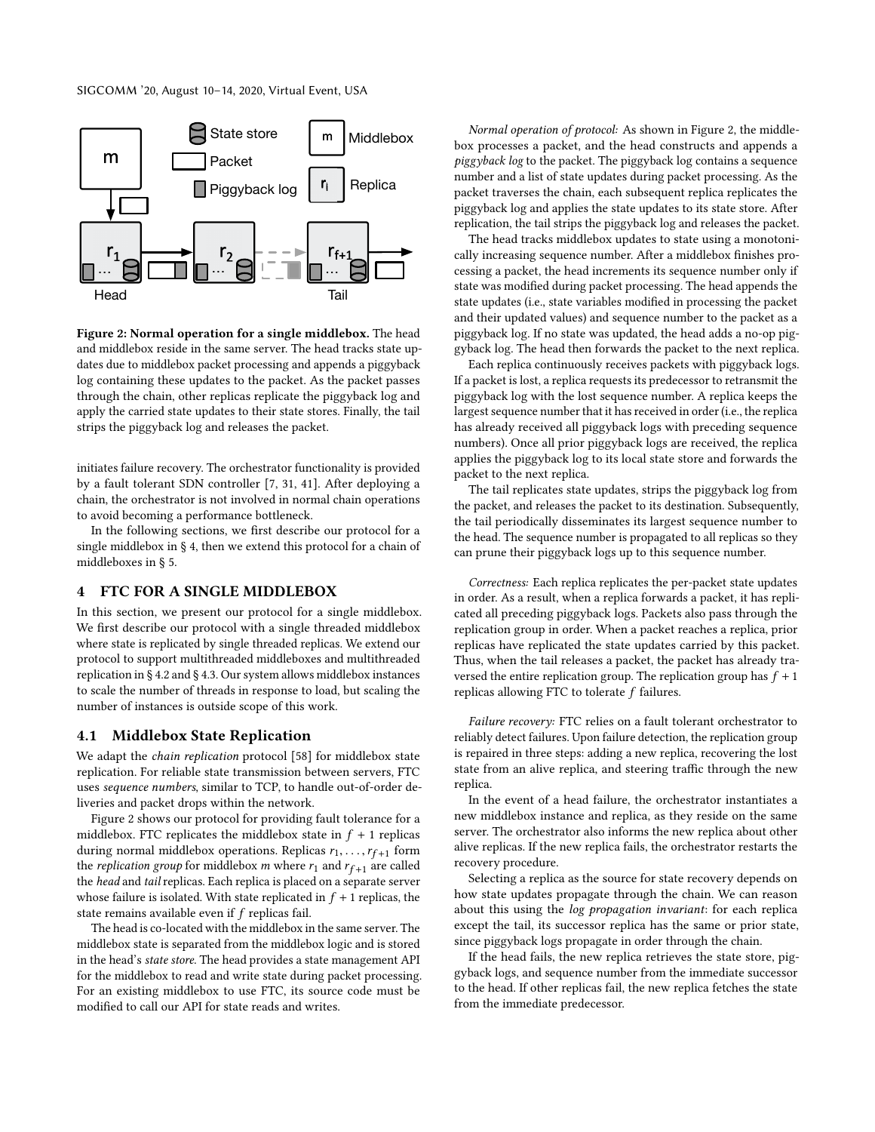<span id="page-3-1"></span>

Figure 2: Normal operation for a single middlebox. The head and middlebox reside in the same server. The head tracks state updates due to middlebox packet processing and appends a piggyback log containing these updates to the packet. As the packet passes through the chain, other replicas replicate the piggyback log and apply the carried state updates to their state stores. Finally, the tail strips the piggyback log and releases the packet.

initiates failure recovery. The orchestrator functionality is provided by a fault tolerant SDN controller [\[7,](#page-11-2) [31,](#page-12-21) [41\]](#page-12-22). After deploying a chain, the orchestrator is not involved in normal chain operations to avoid becoming a performance bottleneck.

In the following sections, we first describe our protocol for a single middlebox in § [4,](#page-3-0) then we extend this protocol for a chain of middleboxes in § [5.](#page-5-0)

#### <span id="page-3-0"></span>4 FTC FOR A SINGLE MIDDLEBOX

In this section, we present our protocol for a single middlebox. We first describe our protocol with a single threaded middlebox where state is replicated by single threaded replicas. We extend our protocol to support multithreaded middleboxes and multithreaded replication in § [4.2](#page-4-0) and § [4.3.](#page-4-1) Our system allows middlebox instances to scale the number of threads in response to load, but scaling the number of instances is outside scope of this work.

#### 4.1 Middlebox State Replication

We adapt the chain replication protocol [\[58\]](#page-12-11) for middlebox state replication. For reliable state transmission between servers, FTC uses sequence numbers, similar to TCP, to handle out-of-order deliveries and packet drops within the network.

Figure [2](#page-3-1) shows our protocol for providing fault tolerance for a middlebox. FTC replicates the middlebox state in  $f + 1$  replicas during normal middlebox operations. Replicas  $r_1, \ldots, r_{f+1}$  form<br>the replication group for middlebox m where r, and r s . . are called the *replication group* for middlebox *m* where  $r_1$  and  $r_{f+1}$  are called the head and tail replicas. Each replica is placed on a separate server whose failure is isolated. With state replicated in  $f + 1$  replicas, the state remains available even if f replicas fail.

The head is co-located with the middlebox in the same server. The middlebox state is separated from the middlebox logic and is stored in the head's state store. The head provides a state management API for the middlebox to read and write state during packet processing. For an existing middlebox to use FTC, its source code must be modified to call our API for state reads and writes.

Normal operation of protocol: As shown in Figure [2,](#page-3-1) the middlebox processes a packet, and the head constructs and appends a piggyback log to the packet. The piggyback log contains a sequence number and a list of state updates during packet processing. As the packet traverses the chain, each subsequent replica replicates the piggyback log and applies the state updates to its state store. After replication, the tail strips the piggyback log and releases the packet.

The head tracks middlebox updates to state using a monotonically increasing sequence number. After a middlebox finishes processing a packet, the head increments its sequence number only if state was modified during packet processing. The head appends the state updates (i.e., state variables modified in processing the packet and their updated values) and sequence number to the packet as a piggyback log. If no state was updated, the head adds a no-op piggyback log. The head then forwards the packet to the next replica.

Each replica continuously receives packets with piggyback logs. If a packet is lost, a replica requests its predecessor to retransmit the piggyback log with the lost sequence number. A replica keeps the largest sequence number that it has received in order (i.e., the replica has already received all piggyback logs with preceding sequence numbers). Once all prior piggyback logs are received, the replica applies the piggyback log to its local state store and forwards the packet to the next replica.

The tail replicates state updates, strips the piggyback log from the packet, and releases the packet to its destination. Subsequently, the tail periodically disseminates its largest sequence number to the head. The sequence number is propagated to all replicas so they can prune their piggyback logs up to this sequence number.

Correctness: Each replica replicates the per-packet state updates in order. As a result, when a replica forwards a packet, it has replicated all preceding piggyback logs. Packets also pass through the replication group in order. When a packet reaches a replica, prior replicas have replicated the state updates carried by this packet. Thus, when the tail releases a packet, the packet has already traversed the entire replication group. The replication group has  $f + 1$ replicas allowing FTC to tolerate  $f$  failures.

Failure recovery: FTC relies on a fault tolerant orchestrator to reliably detect failures. Upon failure detection, the replication group is repaired in three steps: adding a new replica, recovering the lost state from an alive replica, and steering traffic through the new replica.

In the event of a head failure, the orchestrator instantiates a new middlebox instance and replica, as they reside on the same server. The orchestrator also informs the new replica about other alive replicas. If the new replica fails, the orchestrator restarts the recovery procedure.

Selecting a replica as the source for state recovery depends on how state updates propagate through the chain. We can reason about this using the log propagation invariant: for each replica except the tail, its successor replica has the same or prior state, since piggyback logs propagate in order through the chain.

If the head fails, the new replica retrieves the state store, piggyback logs, and sequence number from the immediate successor to the head. If other replicas fail, the new replica fetches the state from the immediate predecessor.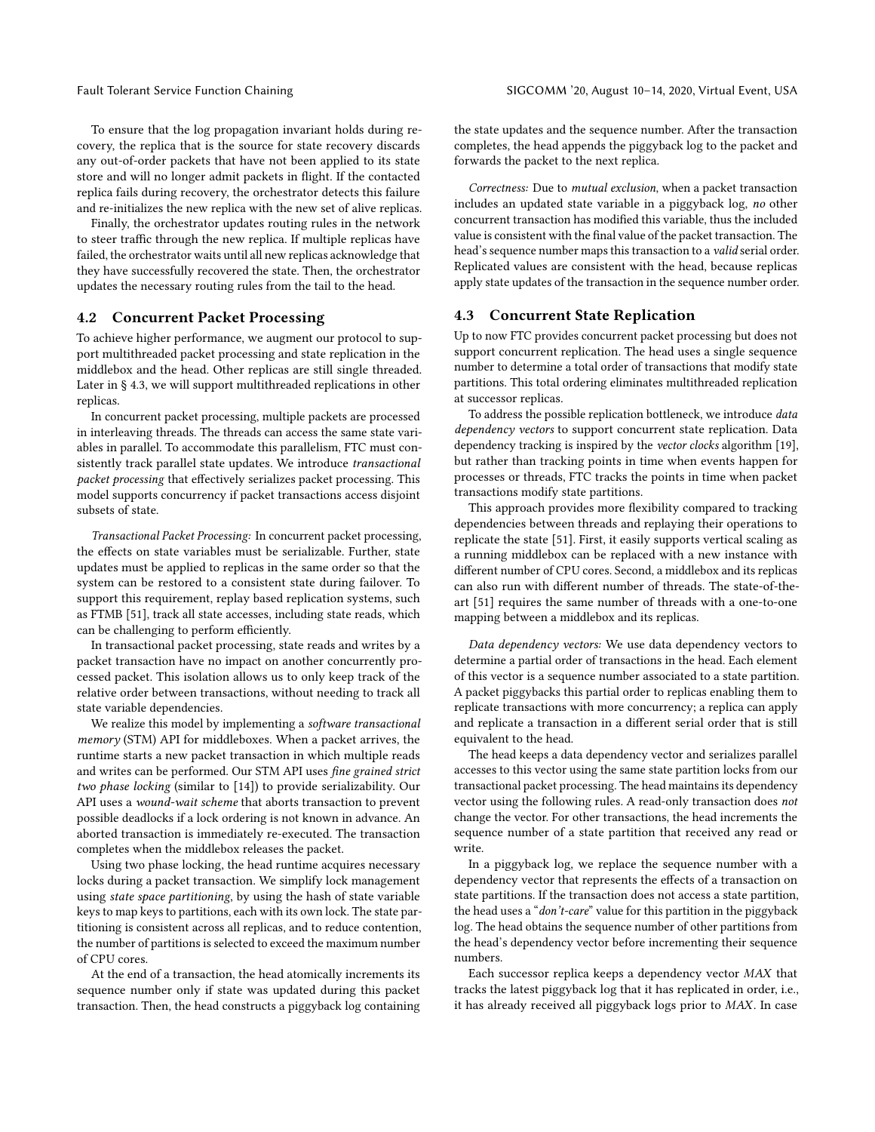To ensure that the log propagation invariant holds during recovery, the replica that is the source for state recovery discards any out-of-order packets that have not been applied to its state store and will no longer admit packets in flight. If the contacted replica fails during recovery, the orchestrator detects this failure and re-initializes the new replica with the new set of alive replicas.

Finally, the orchestrator updates routing rules in the network to steer traffic through the new replica. If multiple replicas have failed, the orchestrator waits until all new replicas acknowledge that they have successfully recovered the state. Then, the orchestrator updates the necessary routing rules from the tail to the head.

### <span id="page-4-0"></span>4.2 Concurrent Packet Processing

To achieve higher performance, we augment our protocol to support multithreaded packet processing and state replication in the middlebox and the head. Other replicas are still single threaded. Later in § [4.3,](#page-4-1) we will support multithreaded replications in other replicas.

In concurrent packet processing, multiple packets are processed in interleaving threads. The threads can access the same state variables in parallel. To accommodate this parallelism, FTC must consistently track parallel state updates. We introduce transactional packet processing that effectively serializes packet processing. This model supports concurrency if packet transactions access disjoint subsets of state.

Transactional Packet Processing: In concurrent packet processing, the effects on state variables must be serializable. Further, state updates must be applied to replicas in the same order so that the system can be restored to a consistent state during failover. To support this requirement, replay based replication systems, such as FTMB [\[51\]](#page-12-0), track all state accesses, including state reads, which can be challenging to perform efficiently.

In transactional packet processing, state reads and writes by a packet transaction have no impact on another concurrently processed packet. This isolation allows us to only keep track of the relative order between transactions, without needing to track all state variable dependencies.

We realize this model by implementing a software transactional memory (STM) API for middleboxes. When a packet arrives, the runtime starts a new packet transaction in which multiple reads and writes can be performed. Our STM API uses fine grained strict two phase locking (similar to [\[14\]](#page-11-15)) to provide serializability. Our API uses a wound-wait scheme that aborts transaction to prevent possible deadlocks if a lock ordering is not known in advance. An aborted transaction is immediately re-executed. The transaction completes when the middlebox releases the packet.

Using two phase locking, the head runtime acquires necessary locks during a packet transaction. We simplify lock management using state space partitioning, by using the hash of state variable keys to map keys to partitions, each with its own lock. The state partitioning is consistent across all replicas, and to reduce contention, the number of partitions is selected to exceed the maximum number of CPU cores.

At the end of a transaction, the head atomically increments its sequence number only if state was updated during this packet transaction. Then, the head constructs a piggyback log containing the state updates and the sequence number. After the transaction completes, the head appends the piggyback log to the packet and forwards the packet to the next replica.

Correctness: Due to mutual exclusion, when a packet transaction includes an updated state variable in a piggyback log, no other concurrent transaction has modified this variable, thus the included value is consistent with the final value of the packet transaction. The head's sequence number maps this transaction to a valid serial order. Replicated values are consistent with the head, because replicas apply state updates of the transaction in the sequence number order.

### <span id="page-4-1"></span>4.3 Concurrent State Replication

Up to now FTC provides concurrent packet processing but does not support concurrent replication. The head uses a single sequence number to determine a total order of transactions that modify state partitions. This total ordering eliminates multithreaded replication at successor replicas.

To address the possible replication bottleneck, we introduce data dependency vectors to support concurrent state replication. Data dependency tracking is inspired by the vector clocks algorithm [\[19\]](#page-11-16), but rather than tracking points in time when events happen for processes or threads, FTC tracks the points in time when packet transactions modify state partitions.

This approach provides more flexibility compared to tracking dependencies between threads and replaying their operations to replicate the state [\[51\]](#page-12-0). First, it easily supports vertical scaling as a running middlebox can be replaced with a new instance with different number of CPU cores. Second, a middlebox and its replicas can also run with different number of threads. The state-of-theart [\[51\]](#page-12-0) requires the same number of threads with a one-to-one mapping between a middlebox and its replicas.

Data dependency vectors: We use data dependency vectors to determine a partial order of transactions in the head. Each element of this vector is a sequence number associated to a state partition. A packet piggybacks this partial order to replicas enabling them to replicate transactions with more concurrency; a replica can apply and replicate a transaction in a different serial order that is still equivalent to the head.

The head keeps a data dependency vector and serializes parallel accesses to this vector using the same state partition locks from our transactional packet processing. The head maintains its dependency vector using the following rules. A read-only transaction does not change the vector. For other transactions, the head increments the sequence number of a state partition that received any read or write.

In a piggyback log, we replace the sequence number with a dependency vector that represents the effects of a transaction on state partitions. If the transaction does not access a state partition, the head uses a "don't-care" value for this partition in the piggyback log. The head obtains the sequence number of other partitions from the head's dependency vector before incrementing their sequence numbers.

Each successor replica keeps a dependency vector MAX that tracks the latest piggyback log that it has replicated in order, i.e., it has already received all piggyback logs prior to MAX. In case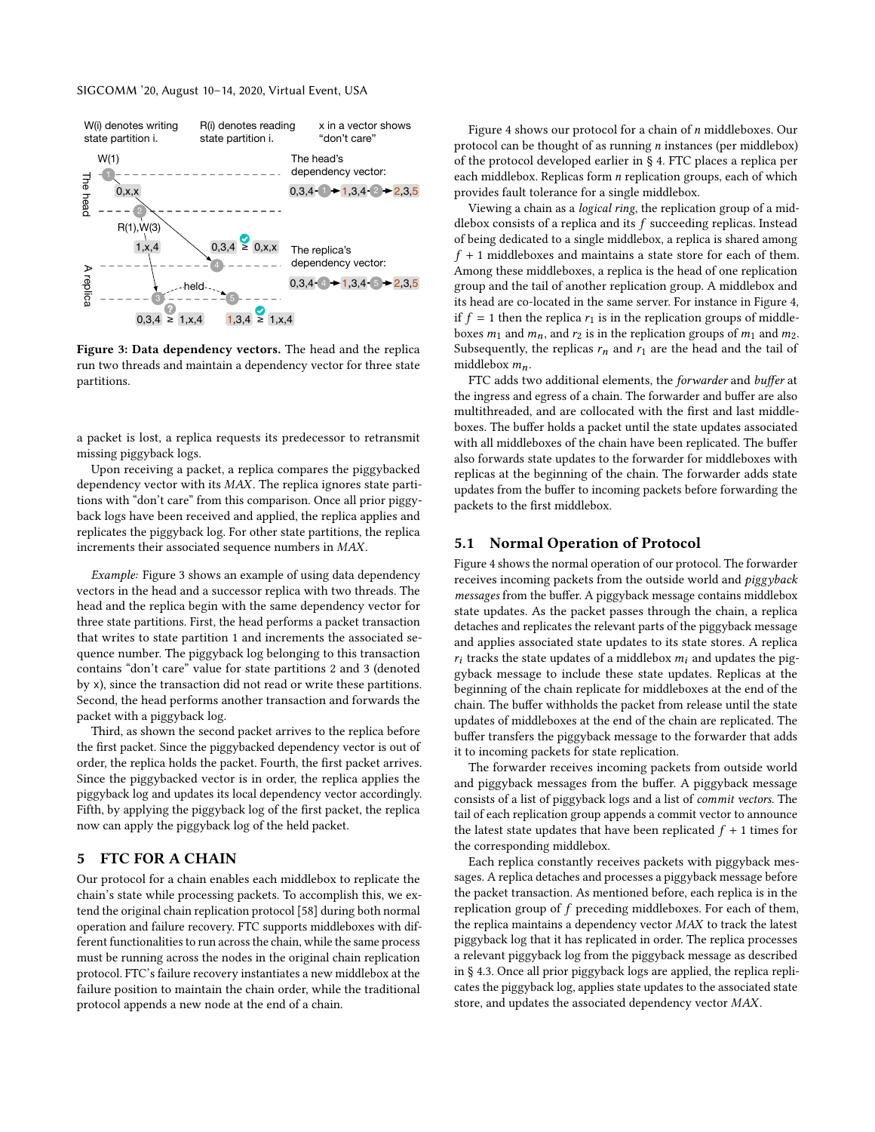<span id="page-5-1"></span>

Figure 3: Data dependency vectors. The head and the replica run two threads and maintain a dependency vector for three state partitions.

a packet is lost, a replica requests its predecessor to retransmit missing piggyback logs.

Upon receiving a packet, a replica compares the piggybacked dependency vector with its MAX. The replica ignores state partitions with "don't care" from this comparison. Once all prior piggyback logs have been received and applied, the replica applies and replicates the piggyback log. For other state partitions, the replica increments their associated sequence numbers in MAX.

Example: Figure [3](#page-5-1) shows an example of using data dependency vectors in the head and a successor replica with two threads. The head and the replica begin with the same dependency vector for three state partitions. First, the head performs a packet transaction that writes to state partition 1 and increments the associated sequence number. The piggyback log belonging to this transaction contains "don't care" value for state partitions 2 and 3 (denoted by x), since the transaction did not read or write these partitions. Second, the head performs another transaction and forwards the packet with a piggyback log.

Third, as shown the second packet arrives to the replica before the first packet. Since the piggybacked dependency vector is out of order, the replica holds the packet. Fourth, the first packet arrives. Since the piggybacked vector is in order, the replica applies the piggyback log and updates its local dependency vector accordingly. Fifth, by applying the piggyback log of the first packet, the replica now can apply the piggyback log of the held packet.

# <span id="page-5-0"></span>5 FTC FOR A CHAIN

Our protocol for a chain enables each middlebox to replicate the chain's state while processing packets. To accomplish this, we extend the original chain replication protocol [\[58\]](#page-12-11) during both normal operation and failure recovery. FTC supports middleboxes with different functionalities to run across the chain, while the same process must be running across the nodes in the original chain replication protocol. FTC's failure recovery instantiates a new middlebox at the failure position to maintain the chain order, while the traditional protocol appends a new node at the end of a chain.

Figure [4](#page-6-0) shows our protocol for a chain of *n* middleboxes. Our protocol can be thought of as running n instances (per middlebox) of the protocol developed earlier in § [4.](#page-3-0) FTC places a replica per each middlebox. Replicas form *n* replication groups, each of which provides fault tolerance for a single middlebox.

Viewing a chain as a *logical ring*, the replication group of a middlebox consists of a replica and its  $f$  succeeding replicas. Instead of being dedicated to a single middlebox, a replica is shared among  $f + 1$  middleboxes and maintains a state store for each of them. Among these middleboxes, a replica is the head of one replication group and the tail of another replication group. A middlebox and its head are co-located in the same server. For instance in Figure [4,](#page-6-0) if  $f = 1$  then the replica  $r_1$  is in the replication groups of middleboxes  $m_1$  and  $m_n$ , and  $r_2$  is in the replication groups of  $m_1$  and  $m_2$ . Subsequently, the replicas  $r_n$  and  $r_1$  are the head and the tail of middlebox  $m_n$ .

FTC adds two additional elements, the forwarder and buffer at the ingress and egress of a chain. The forwarder and buffer are also multithreaded, and are collocated with the first and last middleboxes. The buffer holds a packet until the state updates associated with all middleboxes of the chain have been replicated. The buffer also forwards state updates to the forwarder for middleboxes with replicas at the beginning of the chain. The forwarder adds state updates from the buffer to incoming packets before forwarding the packets to the first middlebox.

#### 5.1 Normal Operation of Protocol

Figure [4](#page-6-0) shows the normal operation of our protocol. The forwarder receives incoming packets from the outside world and piggyback messages from the buffer. A piggyback message contains middlebox state updates. As the packet passes through the chain, a replica detaches and replicates the relevant parts of the piggyback message and applies associated state updates to its state stores. A replica  $r_i$  tracks the state updates of a middlebox  $m_i$  and updates the piggyback message to include these state updates. Replicas at the beginning of the chain replicate for middleboxes at the end of the chain. The buffer withholds the packet from release until the state updates of middleboxes at the end of the chain are replicated. The buffer transfers the piggyback message to the forwarder that adds it to incoming packets for state replication.

The forwarder receives incoming packets from outside world and piggyback messages from the buffer. A piggyback message consists of a list of piggyback logs and a list of commit vectors. The tail of each replication group appends a commit vector to announce the latest state updates that have been replicated  $f + 1$  times for the corresponding middlebox.

Each replica constantly receives packets with piggyback messages. A replica detaches and processes a piggyback message before the packet transaction. As mentioned before, each replica is in the replication group of f preceding middleboxes. For each of them, the replica maintains a dependency vector MAX to track the latest piggyback log that it has replicated in order. The replica processes a relevant piggyback log from the piggyback message as described in § [4.3.](#page-4-1) Once all prior piggyback logs are applied, the replica replicates the piggyback log, applies state updates to the associated state store, and updates the associated dependency vector MAX.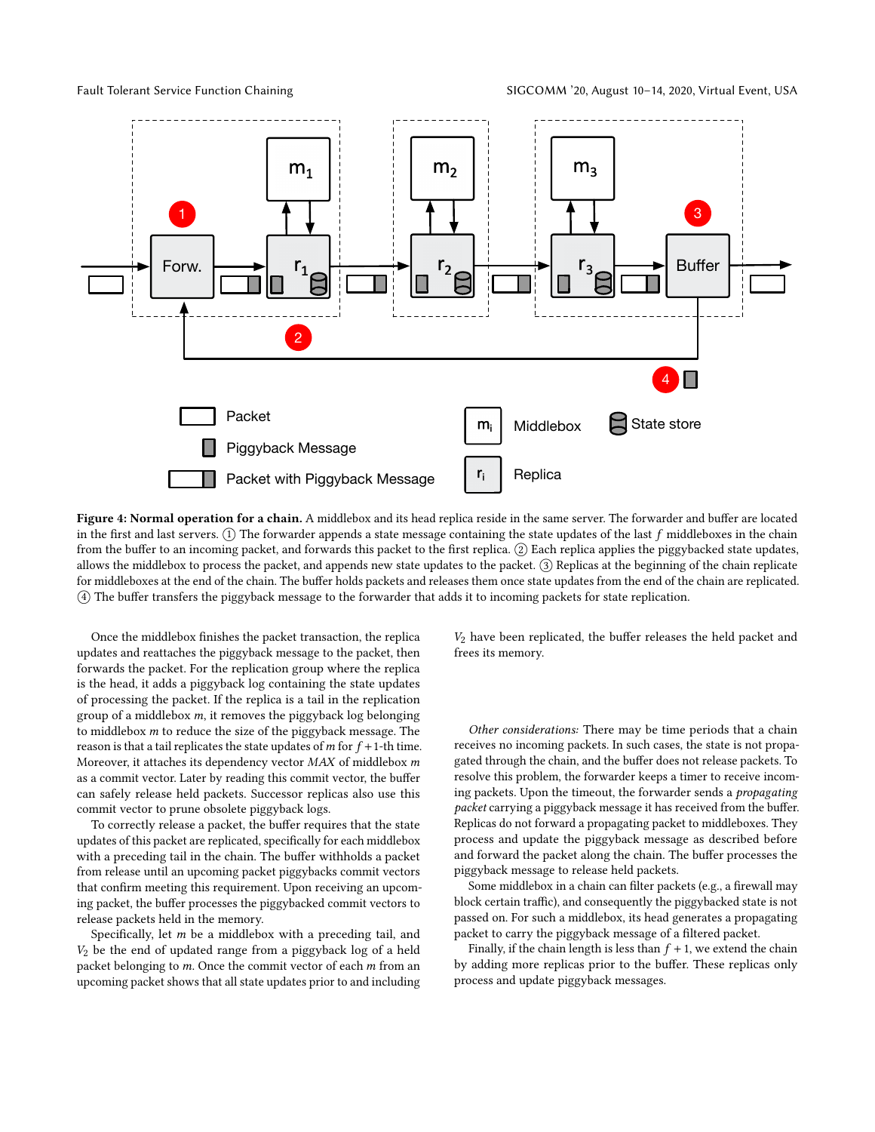<span id="page-6-0"></span>

Figure 4: Normal operation for a chain. A middlebox and its head replica reside in the same server. The forwarder and buffer are located in the first and last servers.  $(1)$  The forwarder appends a state message containing the state updates of the last  $f$  middleboxes in the chain from the buffer to an incoming packet, and forwards this packet to the first replica. ② Each replica applies the piggybacked state updates, allows the middlebox to process the packet, and appends new state updates to the packet. ○3 Replicas at the beginning of the chain replicate for middleboxes at the end of the chain. The buffer holds packets and releases them once state updates from the end of the chain are replicated. ○4 The buffer transfers the piggyback message to the forwarder that adds it to incoming packets for state replication.

Once the middlebox finishes the packet transaction, the replica updates and reattaches the piggyback message to the packet, then forwards the packet. For the replication group where the replica is the head, it adds a piggyback log containing the state updates of processing the packet. If the replica is a tail in the replication group of a middlebox m, it removes the piggyback log belonging to middlebox m to reduce the size of the piggyback message. The reason is that a tail replicates the state updates of  $m$  for  $f + 1$ -th time. Moreover, it attaches its dependency vector  $MAX$  of middlebox  $m$ as a commit vector. Later by reading this commit vector, the buffer can safely release held packets. Successor replicas also use this commit vector to prune obsolete piggyback logs.

To correctly release a packet, the buffer requires that the state updates of this packet are replicated, specifically for each middlebox with a preceding tail in the chain. The buffer withholds a packet from release until an upcoming packet piggybacks commit vectors that confirm meeting this requirement. Upon receiving an upcoming packet, the buffer processes the piggybacked commit vectors to release packets held in the memory.

Specifically, let  $m$  be a middlebox with a preceding tail, and  $V_2$  be the end of updated range from a piggyback log of a held packet belonging to  $m$ . Once the commit vector of each  $m$  from an upcoming packet shows that all state updates prior to and including

 $V_2$  have been replicated, the buffer releases the held packet and frees its memory.

Other considerations: There may be time periods that a chain receives no incoming packets. In such cases, the state is not propagated through the chain, and the buffer does not release packets. To resolve this problem, the forwarder keeps a timer to receive incoming packets. Upon the timeout, the forwarder sends a propagating packet carrying a piggyback message it has received from the buffer. Replicas do not forward a propagating packet to middleboxes. They process and update the piggyback message as described before and forward the packet along the chain. The buffer processes the piggyback message to release held packets.

Some middlebox in a chain can filter packets (e.g., a firewall may block certain traffic), and consequently the piggybacked state is not passed on. For such a middlebox, its head generates a propagating packet to carry the piggyback message of a filtered packet.

Finally, if the chain length is less than  $f + 1$ , we extend the chain by adding more replicas prior to the buffer. These replicas only process and update piggyback messages.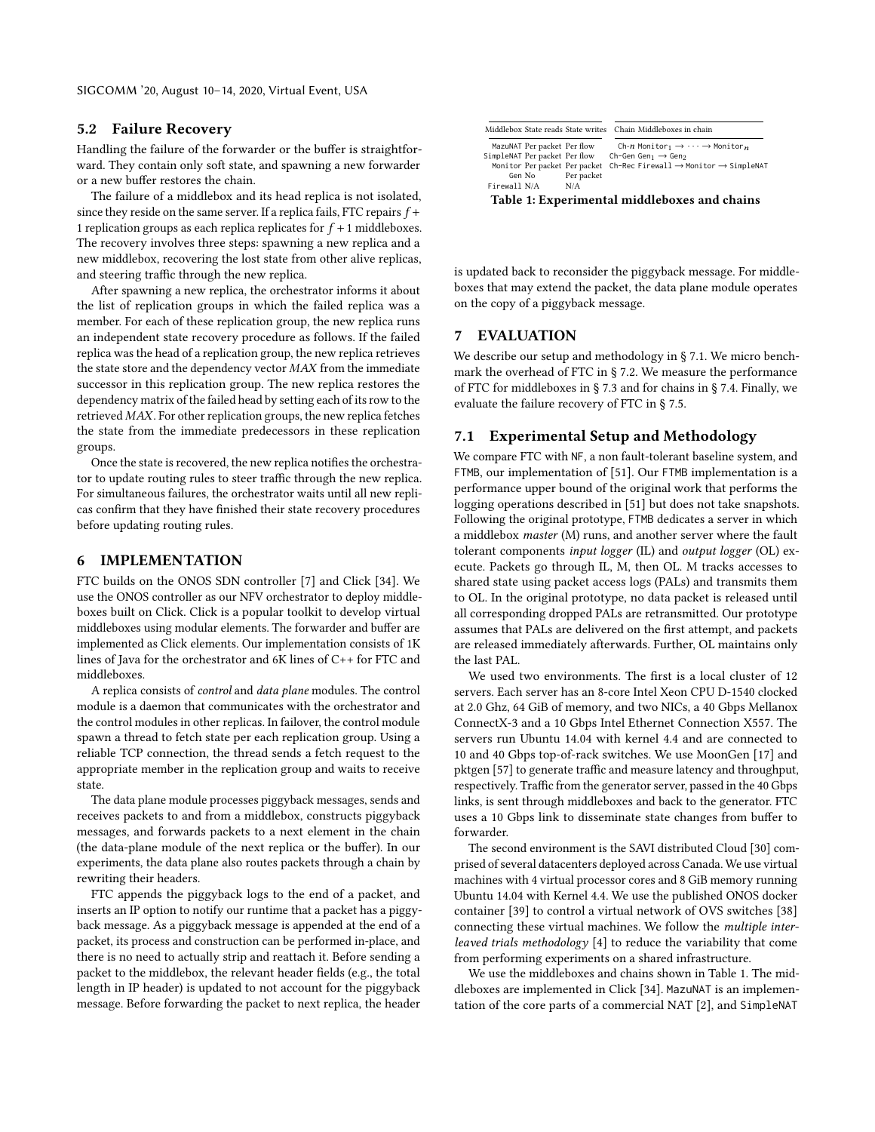#### 5.2 Failure Recovery

Handling the failure of the forwarder or the buffer is straightforward. They contain only soft state, and spawning a new forwarder or a new buffer restores the chain.

The failure of a middlebox and its head replica is not isolated, since they reside on the same server. If a replica fails, FTC repairs  $f$  + 1 replication groups as each replica replicates for  $f + 1$  middleboxes. The recovery involves three steps: spawning a new replica and a new middlebox, recovering the lost state from other alive replicas, and steering traffic through the new replica.

After spawning a new replica, the orchestrator informs it about the list of replication groups in which the failed replica was a member. For each of these replication group, the new replica runs an independent state recovery procedure as follows. If the failed replica was the head of a replication group, the new replica retrieves the state store and the dependency vector MAX from the immediate successor in this replication group. The new replica restores the dependency matrix of the failed head by setting each of its row to the retrieved MAX. For other replication groups, the new replica fetches the state from the immediate predecessors in these replication groups.

Once the state is recovered, the new replica notifies the orchestrator to update routing rules to steer traffic through the new replica. For simultaneous failures, the orchestrator waits until all new replicas confirm that they have finished their state recovery procedures before updating routing rules.

# <span id="page-7-2"></span>6 IMPLEMENTATION

FTC builds on the ONOS SDN controller [\[7\]](#page-11-2) and Click [\[34\]](#page-12-12). We use the ONOS controller as our NFV orchestrator to deploy middleboxes built on Click. Click is a popular toolkit to develop virtual middleboxes using modular elements. The forwarder and buffer are implemented as Click elements. Our implementation consists of 1K lines of Java for the orchestrator and 6K lines of C++ for FTC and middleboxes.

A replica consists of control and data plane modules. The control module is a daemon that communicates with the orchestrator and the control modules in other replicas. In failover, the control module spawn a thread to fetch state per each replication group. Using a reliable TCP connection, the thread sends a fetch request to the appropriate member in the replication group and waits to receive state.

The data plane module processes piggyback messages, sends and receives packets to and from a middlebox, constructs piggyback messages, and forwards packets to a next element in the chain (the data-plane module of the next replica or the buffer). In our experiments, the data plane also routes packets through a chain by rewriting their headers.

FTC appends the piggyback logs to the end of a packet, and inserts an IP option to notify our runtime that a packet has a piggyback message. As a piggyback message is appended at the end of a packet, its process and construction can be performed in-place, and there is no need to actually strip and reattach it. Before sending a packet to the middlebox, the relevant header fields (e.g., the total length in IP header) is updated to not account for the piggyback message. Before forwarding the packet to next replica, the header

<span id="page-7-1"></span>

|                                              |                             |                               | Middlebox State reads State writes Chain Middleboxes in chain                   |  |  |
|----------------------------------------------|-----------------------------|-------------------------------|---------------------------------------------------------------------------------|--|--|
|                                              | MazuNAT Per packet Per flow |                               | Ch-n Monitor <sub>1</sub> $\rightarrow \cdots \rightarrow$ Monitor <sub>n</sub> |  |  |
| SimpleNAT Per packet Per flow                |                             |                               | Ch-Gen Gen <sub>1</sub> $\rightarrow$ Gen <sub>2</sub>                          |  |  |
|                                              |                             | Monitor Per packet Per packet | $Ch$ -Rec Firewall $\rightarrow$ Monitor $\rightarrow$ SimpleNAT                |  |  |
|                                              | Gen No                      | Per packet                    |                                                                                 |  |  |
| Firewall N/A                                 |                             | N/A                           |                                                                                 |  |  |
| Table 1: Experimental middleboxes and chains |                             |                               |                                                                                 |  |  |

is updated back to reconsider the piggyback message. For middleboxes that may extend the packet, the data plane module operates on the copy of a piggyback message.

#### 7 EVALUATION

We describe our setup and methodology in § [7.1.](#page-7-0) We micro benchmark the overhead of FTC in § [7.2.](#page-8-0) We measure the performance of FTC for middleboxes in § [7.3](#page-8-1) and for chains in § [7.4.](#page-9-0) Finally, we evaluate the failure recovery of FTC in § [7.5.](#page-10-0)

# <span id="page-7-0"></span>7.1 Experimental Setup and Methodology

We compare FTC with NF, a non fault-tolerant baseline system, and FTMB, our implementation of [\[51\]](#page-12-0). Our FTMB implementation is a performance upper bound of the original work that performs the logging operations described in [\[51\]](#page-12-0) but does not take snapshots. Following the original prototype, FTMB dedicates a server in which a middlebox master (M) runs, and another server where the fault tolerant components input logger (IL) and output logger (OL) execute. Packets go through IL, M, then OL. M tracks accesses to shared state using packet access logs (PALs) and transmits them to OL. In the original prototype, no data packet is released until all corresponding dropped PALs are retransmitted. Our prototype assumes that PALs are delivered on the first attempt, and packets are released immediately afterwards. Further, OL maintains only the last PAL.

We used two environments. The first is a local cluster of 12 servers. Each server has an 8-core Intel Xeon CPU D-1540 clocked at 2.0 Ghz, 64 GiB of memory, and two NICs, a 40 Gbps Mellanox ConnectX-3 and a 10 Gbps Intel Ethernet Connection X557. The servers run Ubuntu 14.04 with kernel 4.4 and are connected to 10 and 40 Gbps top-of-rack switches. We use MoonGen [\[17\]](#page-11-17) and pktgen [\[57\]](#page-12-23) to generate traffic and measure latency and throughput, respectively. Traffic from the generator server, passed in the 40 Gbps links, is sent through middleboxes and back to the generator. FTC uses a 10 Gbps link to disseminate state changes from buffer to forwarder.

The second environment is the SAVI distributed Cloud [\[30\]](#page-12-24) comprised of several datacenters deployed across Canada. We use virtual machines with 4 virtual processor cores and 8 GiB memory running Ubuntu 14.04 with Kernel 4.4. We use the published ONOS docker container [\[39\]](#page-12-25) to control a virtual network of OVS switches [\[38\]](#page-12-26) connecting these virtual machines. We follow the multiple interleaved trials methodology [\[4\]](#page-11-18) to reduce the variability that come from performing experiments on a shared infrastructure.

We use the middleboxes and chains shown in Table [1.](#page-7-1) The middleboxes are implemented in Click [\[34\]](#page-12-12). MazuNAT is an implementation of the core parts of a commercial NAT [\[2\]](#page-11-19), and SimpleNAT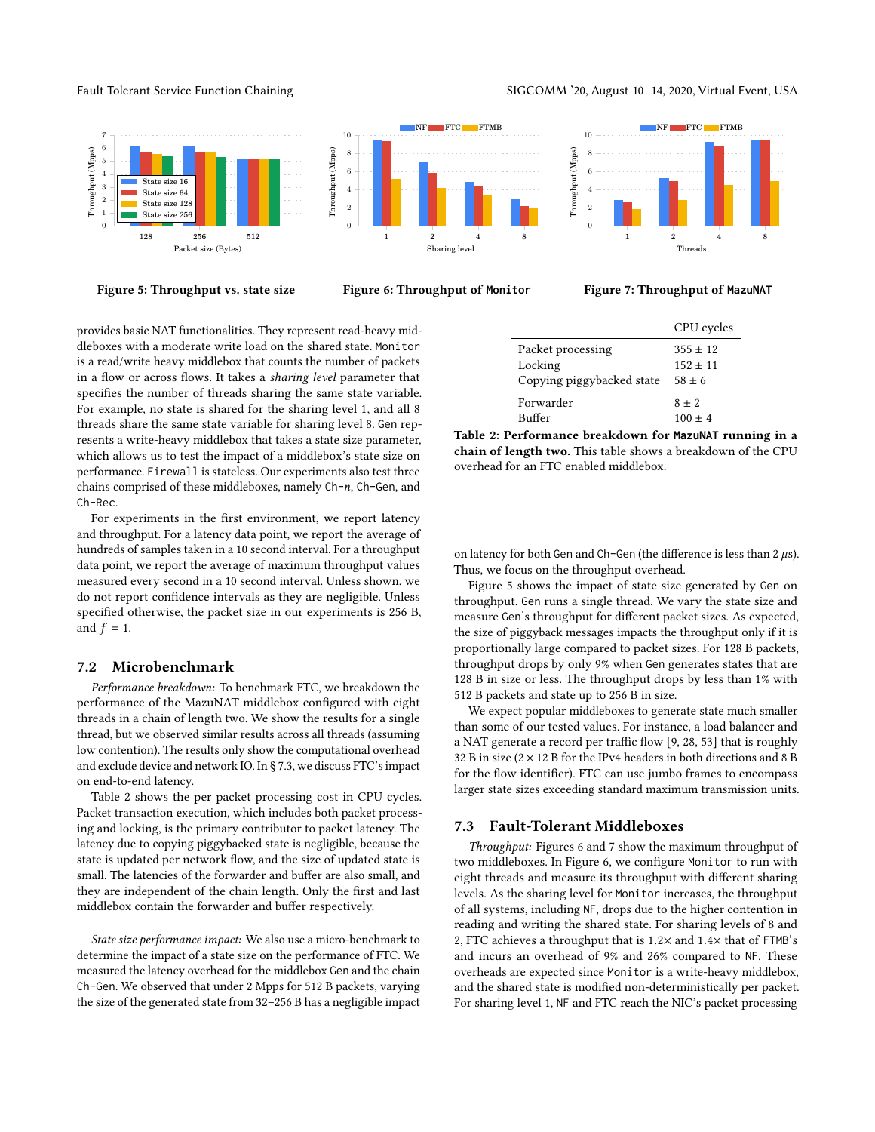Fault Tolerant Service Function Chaining **SIGCOMM** <sup>20</sup>, August 10-14, 2020, Virtual Event, USA

<span id="page-8-3"></span>

Figure 5: Throughput vs. state size



Figure 7: Throughput of **MazuNAT**

provides basic NAT functionalities. They represent read-heavy middleboxes with a moderate write load on the shared state. Monitor is a read/write heavy middlebox that counts the number of packets in a flow or across flows. It takes a sharing level parameter that specifies the number of threads sharing the same state variable. For example, no state is shared for the sharing level 1, and all 8 threads share the same state variable for sharing level 8. Gen represents a write-heavy middlebox that takes a state size parameter, which allows us to test the impact of a middlebox's state size on performance. Firewall is stateless. Our experiments also test three chains comprised of these middleboxes, namely Ch-n, Ch-Gen, and Ch-Rec.

For experiments in the first environment, we report latency and throughput. For a latency data point, we report the average of hundreds of samples taken in a 10 second interval. For a throughput data point, we report the average of maximum throughput values measured every second in a 10 second interval. Unless shown, we do not report confidence intervals as they are negligible. Unless specified otherwise, the packet size in our experiments is 256 B, and  $f = 1$ .

#### <span id="page-8-0"></span>7.2 Microbenchmark

Performance breakdown: To benchmark FTC, we breakdown the performance of the MazuNAT middlebox configured with eight threads in a chain of length two. We show the results for a single thread, but we observed similar results across all threads (assuming low contention). The results only show the computational overhead and exclude device and network IO. In § [7.3,](#page-8-1) we discuss FTC's impact on end-to-end latency.

Table [2](#page-8-2) shows the per packet processing cost in CPU cycles. Packet transaction execution, which includes both packet processing and locking, is the primary contributor to packet latency. The latency due to copying piggybacked state is negligible, because the state is updated per network flow, and the size of updated state is small. The latencies of the forwarder and buffer are also small, and they are independent of the chain length. Only the first and last middlebox contain the forwarder and buffer respectively.

State size performance impact: We also use a micro-benchmark to determine the impact of a state size on the performance of FTC. We measured the latency overhead for the middlebox Gen and the chain Ch-Gen. We observed that under 2 Mpps for 512 B packets, varying the size of the generated state from 32–256 B has a negligible impact

<span id="page-8-2"></span>

|                           | CPU cycles |
|---------------------------|------------|
| Packet processing         | $355 + 12$ |
| Locking                   | $152 + 11$ |
| Copying piggybacked state | $58 \pm 6$ |
| Forwarder                 | $8 \pm 2$  |
| Buffer                    | $100 + 4$  |

Table 2: Performance breakdown for **MazuNAT** running in a chain of length two. This table shows a breakdown of the CPU overhead for an FTC enabled middlebox.

on latency for both Gen and Ch-Gen (the difference is less than  $2 \mu s$ ). Thus, we focus on the throughput overhead.

Figure [5](#page-8-3) shows the impact of state size generated by Gen on throughput. Gen runs a single thread. We vary the state size and measure Gen's throughput for different packet sizes. As expected, the size of piggyback messages impacts the throughput only if it is proportionally large compared to packet sizes. For 128 B packets, throughput drops by only 9% when Gen generates states that are 128 B in size or less. The throughput drops by less than 1% with 512 B packets and state up to 256 B in size.

We expect popular middleboxes to generate state much smaller than some of our tested values. For instance, a load balancer and a NAT generate a record per traffic flow [\[9,](#page-11-14) [28,](#page-11-20) [53\]](#page-12-16) that is roughly 32 B in size ( $2 \times 12$  B for the IPv4 headers in both directions and 8 B for the flow identifier). FTC can use jumbo frames to encompass larger state sizes exceeding standard maximum transmission units.

#### <span id="page-8-1"></span>7.3 Fault-Tolerant Middleboxes

Throughput: Figures [6](#page-8-3) and [7](#page-8-3) show the maximum throughput of two middleboxes. In Figure [6,](#page-8-3) we configure Monitor to run with eight threads and measure its throughput with different sharing levels. As the sharing level for Monitor increases, the throughput of all systems, including NF, drops due to the higher contention in reading and writing the shared state. For sharing levels of 8 and 2, FTC achieves a throughput that is <sup>1</sup>.2<sup>×</sup> and <sup>1</sup>.4<sup>×</sup> that of FTMB's and incurs an overhead of 9% and 26% compared to NF. These overheads are expected since Monitor is a write-heavy middlebox, and the shared state is modified non-deterministically per packet. For sharing level 1, NF and FTC reach the NIC's packet processing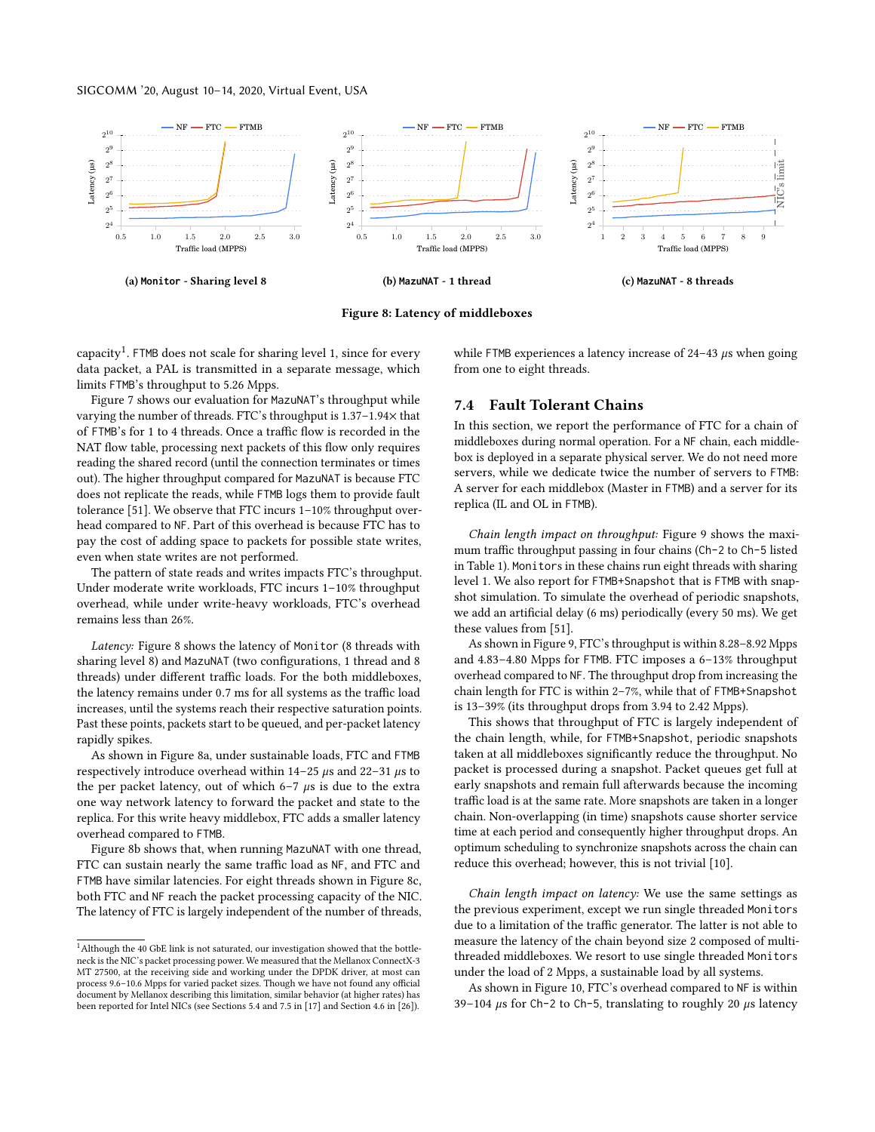<span id="page-9-2"></span>

Figure 8: Latency of middleboxes

 $capacity<sup>1</sup>$  $capacity<sup>1</sup>$  $capacity<sup>1</sup>$ . FTMB does not scale for sharing level 1, since for every data packet, a PAL is transmitted in a separate message, which limits FTMB's throughput to 5.26 Mpps.

Figure [7](#page-8-3) shows our evaluation for MazuNAT's throughput while varying the number of threads. FTC's throughput is 1.37–1.94× that of FTMB's for 1 to 4 threads. Once a traffic flow is recorded in the NAT flow table, processing next packets of this flow only requires reading the shared record (until the connection terminates or times out). The higher throughput compared for MazuNAT is because FTC does not replicate the reads, while FTMB logs them to provide fault tolerance [\[51\]](#page-12-0). We observe that FTC incurs 1–10% throughput overhead compared to NF. Part of this overhead is because FTC has to pay the cost of adding space to packets for possible state writes, even when state writes are not performed.

The pattern of state reads and writes impacts FTC's throughput. Under moderate write workloads, FTC incurs 1–10% throughput overhead, while under write-heavy workloads, FTC's overhead remains less than 26%.

Latency: Figure [8](#page-9-2) shows the latency of Monitor (8 threads with sharing level 8) and MazuNAT (two configurations, 1 thread and 8 threads) under different traffic loads. For the both middleboxes, the latency remains under <sup>0</sup>.<sup>7</sup> ms for all systems as the traffic load increases, until the systems reach their respective saturation points. Past these points, packets start to be queued, and per-packet latency rapidly spikes.

As shown in Figure [8a,](#page-9-2) under sustainable loads, FTC and FTMB respectively introduce overhead within  $14-25 \mu s$  and  $22-31 \mu s$  to the per packet latency, out of which  $6-7 \mu s$  is due to the extra one way network latency to forward the packet and state to the replica. For this write heavy middlebox, FTC adds a smaller latency overhead compared to FTMB.

Figure [8b](#page-9-2) shows that, when running MazuNAT with one thread, FTC can sustain nearly the same traffic load as NF, and FTC and FTMB have similar latencies. For eight threads shown in Figure [8c,](#page-9-2) both FTC and NF reach the packet processing capacity of the NIC. The latency of FTC is largely independent of the number of threads,

while FTMB experiences a latency increase of  $24-43 \mu s$  when going from one to eight threads.

# <span id="page-9-0"></span>7.4 Fault Tolerant Chains

In this section, we report the performance of FTC for a chain of middleboxes during normal operation. For a NF chain, each middlebox is deployed in a separate physical server. We do not need more servers, while we dedicate twice the number of servers to FTMB: A server for each middlebox (Master in FTMB) and a server for its replica (IL and OL in FTMB).

Chain length impact on throughput: Figure [9](#page-10-1) shows the maximum traffic throughput passing in four chains (Ch-2 to Ch-5 listed in Table [1\)](#page-7-1). Monitors in these chains run eight threads with sharing level 1. We also report for FTMB+Snapshot that is FTMB with snapshot simulation. To simulate the overhead of periodic snapshots, we add an artificial delay (6 ms) periodically (every 50 ms). We get these values from [\[51\]](#page-12-0).

As shown in Figure [9,](#page-10-1) FTC's throughput is within 8.28–8.92 Mpps and 4.83–4.80 Mpps for FTMB. FTC imposes a 6–13% throughput overhead compared to NF. The throughput drop from increasing the chain length for FTC is within 2–7%, while that of FTMB+Snapshot is 13–39% (its throughput drops from 3.94 to 2.42 Mpps).

This shows that throughput of FTC is largely independent of the chain length, while, for FTMB+Snapshot, periodic snapshots taken at all middleboxes significantly reduce the throughput. No packet is processed during a snapshot. Packet queues get full at early snapshots and remain full afterwards because the incoming traffic load is at the same rate. More snapshots are taken in a longer chain. Non-overlapping (in time) snapshots cause shorter service time at each period and consequently higher throughput drops. An optimum scheduling to synchronize snapshots across the chain can reduce this overhead; however, this is not trivial [\[10\]](#page-11-21).

Chain length impact on latency: We use the same settings as the previous experiment, except we run single threaded Monitors due to a limitation of the traffic generator. The latter is not able to measure the latency of the chain beyond size 2 composed of multithreaded middleboxes. We resort to use single threaded Monitors under the load of 2 Mpps, a sustainable load by all systems.

As shown in Figure [10,](#page-10-1) FTC's overhead compared to NF is within 39–104  $\mu$ s for Ch-2 to Ch-5, translating to roughly 20  $\mu$ s latency

<span id="page-9-1"></span><sup>&</sup>lt;sup>1</sup>Although the 40 GbE link is not saturated, our investigation showed that the bottleneck is the NIC's packet processing power. We measured that the Mellanox ConnectX-3 MT 27500, at the receiving side and working under the DPDK driver, at most can process 9.6–10.6 Mpps for varied packet sizes. Though we have not found any official document by Mellanox describing this limitation, similar behavior (at higher rates) has been reported for Intel NICs (see Sections 5.4 and 7.5 in [\[17\]](#page-11-17) and Section 4.6 in [\[26\]](#page-11-11)).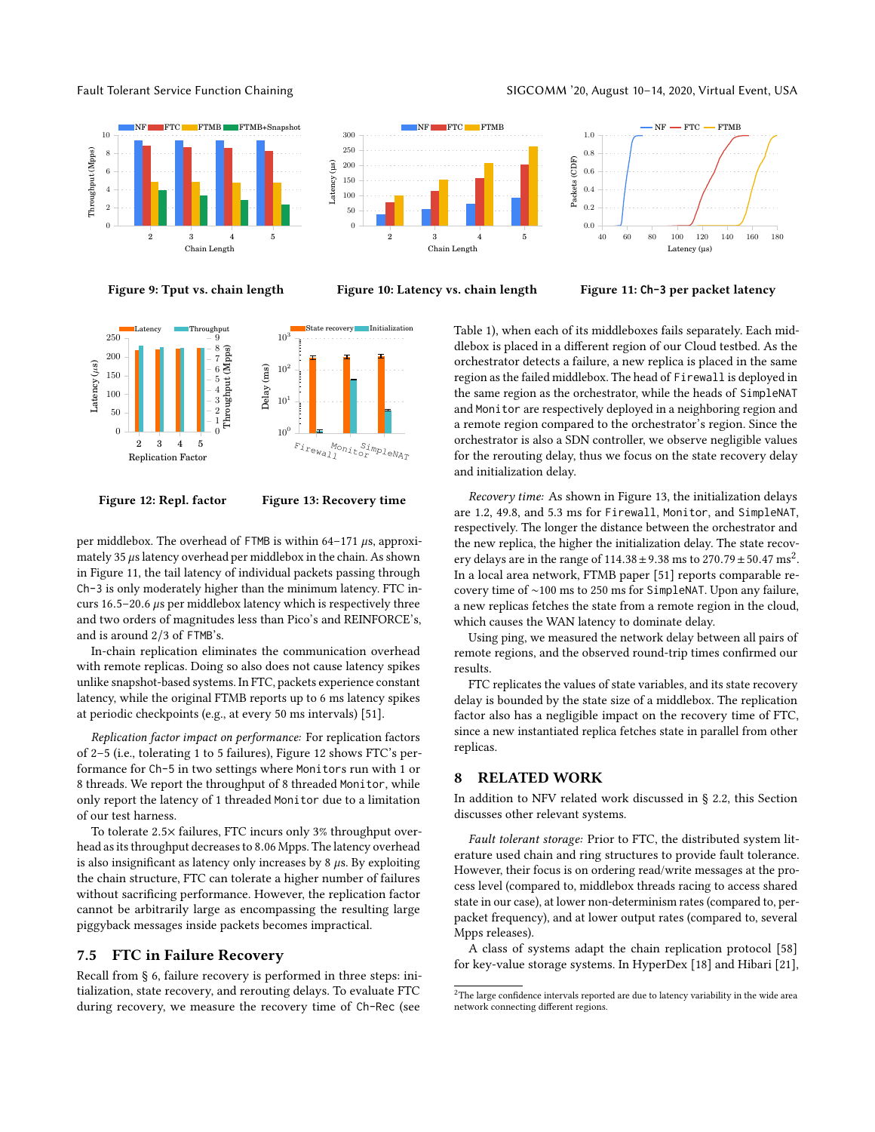Fault Tolerant Service Function Chaining **SIGCOMM** <sup>20</sup>, August 10-14, 2020, Virtual Event, USA

Throughput (Mpps)

Throughput (Mpps)

<span id="page-10-1"></span>



Figure 9: Tput vs. chain length

Figure 10: Latency vs. chain length

Figure 11: **Ch-3** per packet latency

<span id="page-10-2"></span>



per middlebox. The overhead of FTMB is within 64-171  $\mu$ s, approximately 35  $\mu$ s latency overhead per middlebox in the chain. As shown in Figure [11,](#page-10-1) the tail latency of individual packets passing through Ch-3 is only moderately higher than the minimum latency. FTC incurs <sup>16</sup>.5–20.<sup>6</sup> µs per middlebox latency which is respectively three and two orders of magnitudes less than Pico's and REINFORCE's, and is around 2/3 of FTMB's.

In-chain replication eliminates the communication overhead with remote replicas. Doing so also does not cause latency spikes unlike snapshot-based systems. In FTC, packets experience constant latency, while the original FTMB reports up to 6 ms latency spikes at periodic checkpoints (e.g., at every 50 ms intervals) [\[51\]](#page-12-0).

Replication factor impact on performance: For replication factors of 2–5 (i.e., tolerating 1 to 5 failures), Figure [12](#page-10-2) shows FTC's performance for Ch-5 in two settings where Monitors run with 1 or 8 threads. We report the throughput of 8 threaded Monitor, while only report the latency of 1 threaded Monitor due to a limitation of our test harness.

To tolerate <sup>2</sup>.5<sup>×</sup> failures, FTC incurs only 3% throughput overhead as its throughput decreases to <sup>8</sup>.<sup>06</sup> Mpps. The latency overhead is also insignificant as latency only increases by  $8 \mu s$ . By exploiting the chain structure, FTC can tolerate a higher number of failures without sacrificing performance. However, the replication factor cannot be arbitrarily large as encompassing the resulting large piggyback messages inside packets becomes impractical.

### <span id="page-10-0"></span>7.5 FTC in Failure Recovery

Recall from § [6,](#page-7-2) failure recovery is performed in three steps: initialization, state recovery, and rerouting delays. To evaluate FTC during recovery, we measure the recovery time of Ch-Rec (see

Table [1\)](#page-7-1), when each of its middleboxes fails separately. Each middlebox is placed in a different region of our Cloud testbed. As the orchestrator detects a failure, a new replica is placed in the same region as the failed middlebox. The head of Firewall is deployed in the same region as the orchestrator, while the heads of SimpleNAT and Monitor are respectively deployed in a neighboring region and a remote region compared to the orchestrator's region. Since the orchestrator is also a SDN controller, we observe negligible values for the rerouting delay, thus we focus on the state recovery delay and initialization delay.

Recovery time: As shown in Figure [13,](#page-10-2) the initialization delays are 1.2, 49.8, and 5.3 ms for Firewall, Monitor, and SimpleNAT, respectively. The longer the distance between the orchestrator and the new replica, the higher the initialization delay. The state recovery delays are in the range of  $114.38 \pm 9.38$  ms to  $270.79 \pm 50.47$  $270.79 \pm 50.47$  ms<sup>2</sup>.<br>In a local area network, FTMB paper [51] reports comparable re-In a local area network, FTMB paper [\[51\]](#page-12-0) reports comparable recovery time of ∼100 ms to 250 ms for SimpleNAT. Upon any failure, a new replicas fetches the state from a remote region in the cloud, which causes the WAN latency to dominate delay.

Using ping, we measured the network delay between all pairs of remote regions, and the observed round-trip times confirmed our results.

FTC replicates the values of state variables, and its state recovery delay is bounded by the state size of a middlebox. The replication factor also has a negligible impact on the recovery time of FTC, since a new instantiated replica fetches state in parallel from other replicas.

# 8 RELATED WORK

In addition to NFV related work discussed in § [2.2,](#page-1-1) this Section discusses other relevant systems.

Fault tolerant storage: Prior to FTC, the distributed system literature used chain and ring structures to provide fault tolerance. However, their focus is on ordering read/write messages at the process level (compared to, middlebox threads racing to access shared state in our case), at lower non-determinism rates (compared to, perpacket frequency), and at lower output rates (compared to, several Mpps releases).

A class of systems adapt the chain replication protocol [\[58\]](#page-12-11) for key-value storage systems. In HyperDex [\[18\]](#page-11-22) and Hibari [\[21\]](#page-11-23),

<span id="page-10-3"></span> $^{\rm 2}$  The large confidence intervals reported are due to latency variability in the wide area network connecting different regions.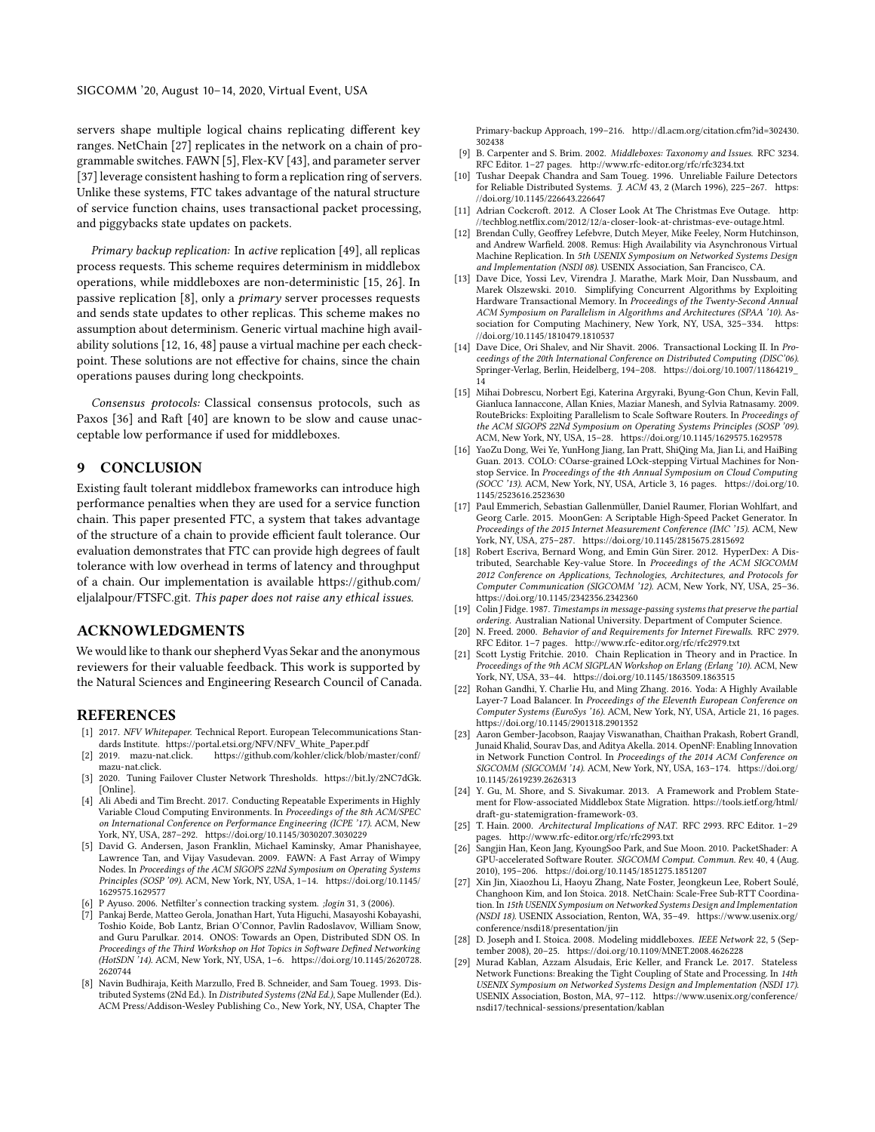servers shape multiple logical chains replicating different key ranges. NetChain [\[27\]](#page-11-24) replicates in the network on a chain of programmable switches. FAWN [\[5\]](#page-11-25), Flex-KV [\[43\]](#page-12-27), and parameter server [\[37\]](#page-12-28) leverage consistent hashing to form a replication ring of servers. Unlike these systems, FTC takes advantage of the natural structure of service function chains, uses transactional packet processing, and piggybacks state updates on packets.

Primary backup replication: In active replication [\[49\]](#page-12-29), all replicas process requests. This scheme requires determinism in middlebox operations, while middleboxes are non-deterministic [\[15,](#page-11-4) [26\]](#page-11-11). In passive replication [\[8\]](#page-11-26), only a primary server processes requests and sends state updates to other replicas. This scheme makes no assumption about determinism. Generic virtual machine high availability solutions [\[12,](#page-11-27) [16,](#page-11-28) [48\]](#page-12-30) pause a virtual machine per each checkpoint. These solutions are not effective for chains, since the chain operations pauses during long checkpoints.

Consensus protocols: Classical consensus protocols, such as Paxos [\[36\]](#page-12-18) and Raft [\[40\]](#page-12-19) are known to be slow and cause unacceptable low performance if used for middleboxes.

#### **CONCLUSION**

Existing fault tolerant middlebox frameworks can introduce high performance penalties when they are used for a service function chain. This paper presented FTC, a system that takes advantage of the structure of a chain to provide efficient fault tolerance. Our evaluation demonstrates that FTC can provide high degrees of fault tolerance with low overhead in terms of latency and throughput of a chain. Our implementation is available [https://github.com/](https://github.com/eljalalpour/FTSFC.git) [eljalalpour/FTSFC.git.](https://github.com/eljalalpour/FTSFC.git) This paper does not raise any ethical issues.

# ACKNOWLEDGMENTS

We would like to thank our shepherd Vyas Sekar and the anonymous reviewers for their valuable feedback. This work is supported by the Natural Sciences and Engineering Research Council of Canada.

#### REFERENCES

- <span id="page-11-3"></span>[1] 2017. NFV Whitepaper. Technical Report. European Telecommunications Standards Institute. [https://portal.etsi.org/NFV/NFV\\_White\\_Paper.pdf](https://portal.etsi.org/NFV/NFV_White_Paper.pdf) [2] 2019. mazu-nat.click. https://github.com/kohler/click/blob/r
- <span id="page-11-19"></span>https://github.com/kohler/click/blob/master/conf/ [mazu-nat.click.](https://github.com/kohler/click/blob/master/conf/mazu-nat.click)
- <span id="page-11-12"></span>[3] 2020. Tuning Failover Cluster Network Thresholds. [https://bit.ly/2NC7dGk.](https://bit.ly/2NC7dGk) [Online].
- <span id="page-11-18"></span>[4] Ali Abedi and Tim Brecht. 2017. Conducting Repeatable Experiments in Highly Variable Cloud Computing Environments. In Proceedings of the 8th ACM/SPEC on International Conference on Performance Engineering (ICPE '17). ACM, New York, NY, USA, 287–292.<https://doi.org/10.1145/3030207.3030229>
- <span id="page-11-25"></span>[5] David G. Andersen, Jason Franklin, Michael Kaminsky, Amar Phanishayee, Lawrence Tan, and Vijay Vasudevan. 2009. FAWN: A Fast Array of Wimpy Nodes. In Proceedings of the ACM SIGOPS 22Nd Symposium on Operating Systems Principles (SOSP '09). ACM, New York, NY, USA, 1–14. [https://doi.org/10.1145/](https://doi.org/10.1145/1629575.1629577) [1629575.1629577](https://doi.org/10.1145/1629575.1629577)
- <span id="page-11-6"></span>P Ayuso. 2006. Netfilter's connection tracking system. ;login 31, 3 (2006).
- <span id="page-11-2"></span>[7] Pankaj Berde, Matteo Gerola, Jonathan Hart, Yuta Higuchi, Masayoshi Kobayashi, Toshio Koide, Bob Lantz, Brian O'Connor, Pavlin Radoslavov, William Snow, and Guru Parulkar. 2014. ONOS: Towards an Open, Distributed SDN OS. In Proceedings of the Third Workshop on Hot Topics in Software Defined Networking (HotSDN '14). ACM, New York, NY, USA, 1–6. [https://doi.org/10.1145/2620728.](https://doi.org/10.1145/2620728.2620744) [2620744](https://doi.org/10.1145/2620728.2620744)
- <span id="page-11-26"></span>[8] Navin Budhiraja, Keith Marzullo, Fred B. Schneider, and Sam Toueg. 1993. Distributed Systems (2Nd Ed.). In Distributed Systems (2Nd Ed.), Sape Mullender (Ed.). ACM Press/Addison-Wesley Publishing Co., New York, NY, USA, Chapter The

Primary-backup Approach, 199–216. [http://dl.acm.org/citation.cfm?id=302430.](http://dl.acm.org/citation.cfm?id=302430.302438) [302438](http://dl.acm.org/citation.cfm?id=302430.302438)

- <span id="page-11-14"></span>[9] B. Carpenter and S. Brim. 2002. Middleboxes: Taxonomy and Issues. RFC 3234. RFC Editor. 1–27 pages.<http://www.rfc-editor.org/rfc/rfc3234.txt>
- <span id="page-11-21"></span>[10] Tushar Deepak Chandra and Sam Toueg. 1996. Unreliable Failure Detectors for Reliable Distributed Systems. J. ACM 43, 2 (March 1996), 225-267. [https:](https://doi.org/10.1145/226643.226647) [//doi.org/10.1145/226643.226647](https://doi.org/10.1145/226643.226647)
- <span id="page-11-0"></span>[11] Adrian Cockcroft. 2012. A Closer Look At The Christmas Eve Outage. [http:](http://techblog.netflix.com/2012/12/a-closer-look-at-christmas-eve-outage.html) [//techblog.netflix.com/2012/12/a-closer-look-at-christmas-eve-outage.html.](http://techblog.netflix.com/2012/12/a-closer-look-at-christmas-eve-outage.html)
- <span id="page-11-27"></span>[12] Brendan Cully, Geoffrey Lefebvre, Dutch Meyer, Mike Feeley, Norm Hutchinson, and Andrew Warfield. 2008. Remus: High Availability via Asynchronous Virtual Machine Replication. In 5th USENIX Symposium on Networked Systems Design and Implementation (NSDI 08). USENIX Association, San Francisco, CA.
- <span id="page-11-13"></span>[13] Dave Dice, Yossi Lev, Virendra J. Marathe, Mark Moir, Dan Nussbaum, and Marek Olszewski. 2010. Simplifying Concurrent Algorithms by Exploiting Hardware Transactional Memory. In Proceedings of the Twenty-Second Annual ACM Symposium on Parallelism in Algorithms and Architectures (SPAA '10). Association for Computing Machinery, New York, NY, USA, 325–334. [https:](https://doi.org/10.1145/1810479.1810537) [//doi.org/10.1145/1810479.1810537](https://doi.org/10.1145/1810479.1810537)
- <span id="page-11-15"></span>[14] Dave Dice, Ori Shalev, and Nir Shavit. 2006. Transactional Locking II. In Proceedings of the 20th International Conference on Distributed Computing (DISC'06). Springer-Verlag, Berlin, Heidelberg, 194–208. [https://doi.org/10.1007/11864219\\_](https://doi.org/10.1007/11864219_14) [14](https://doi.org/10.1007/11864219_14)
- <span id="page-11-4"></span>[15] Mihai Dobrescu, Norbert Egi, Katerina Argyraki, Byung-Gon Chun, Kevin Fall, Gianluca Iannaccone, Allan Knies, Maziar Manesh, and Sylvia Ratnasamy. 2009. RouteBricks: Exploiting Parallelism to Scale Software Routers. In Proceedings of the ACM SIGOPS 22Nd Symposium on Operating Systems Principles (SOSP '09). ACM, New York, NY, USA, 15–28.<https://doi.org/10.1145/1629575.1629578>
- <span id="page-11-28"></span>[16] YaoZu Dong, Wei Ye, YunHong Jiang, Ian Pratt, ShiQing Ma, Jian Li, and HaiBing Guan. 2013. COLO: COarse-grained LOck-stepping Virtual Machines for Nonstop Service. In Proceedings of the 4th Annual Symposium on Cloud Computing (SOCC '13). ACM, New York, NY, USA, Article 3, 16 pages. [https://doi.org/10.](https://doi.org/10.1145/2523616.2523630) [1145/2523616.2523630](https://doi.org/10.1145/2523616.2523630)
- <span id="page-11-17"></span>[17] Paul Emmerich, Sebastian Gallenmüller, Daniel Raumer, Florian Wohlfart, and Georg Carle. 2015. MoonGen: A Scriptable High-Speed Packet Generator. In Proceedings of the 2015 Internet Measurement Conference (IMC '15). ACM, New York, NY, USA, 275–287.<https://doi.org/10.1145/2815675.2815692>
- <span id="page-11-22"></span>[18] Robert Escriva, Bernard Wong, and Emin Gün Sirer. 2012. HyperDex: A Distributed, Searchable Key-value Store. In Proceedings of the ACM SIGCOMM 2012 Conference on Applications, Technologies, Architectures, and Protocols for Computer Communication (SIGCOMM '12). ACM, New York, NY, USA, 25–36. <https://doi.org/10.1145/2342356.2342360>
- <span id="page-11-16"></span>[19] Colin J Fidge. 1987. Timestamps in message-passing systems that preserve the partial ordering. Australian National University. Department of Computer Science.
- <span id="page-11-8"></span>[20] N. Freed. 2000. Behavior of and Requirements for Internet Firewalls. RFC 2979. RFC Editor. 1–7 pages.<http://www.rfc-editor.org/rfc/rfc2979.txt>
- <span id="page-11-23"></span>[21] Scott Lystig Fritchie. 2010. Chain Replication in Theory and in Practice. In Proceedings of the 9th ACM SIGPLAN Workshop on Erlang (Erlang '10). ACM, New York, NY, USA, 33–44.<https://doi.org/10.1145/1863509.1863515>
- <span id="page-11-10"></span>[22] Rohan Gandhi, Y. Charlie Hu, and Ming Zhang. 2016. Yoda: A Highly Available Layer-7 Load Balancer. In Proceedings of the Eleventh European Conference on Computer Systems (EuroSys '16). ACM, New York, NY, USA, Article 21, 16 pages. <https://doi.org/10.1145/2901318.2901352>
- <span id="page-11-9"></span>[23] Aaron Gember-Jacobson, Raajay Viswanathan, Chaithan Prakash, Robert Grandl, Junaid Khalid, Sourav Das, and Aditya Akella. 2014. OpenNF: Enabling Innovation in Network Function Control. In Proceedings of the 2014 ACM Conference on SIGCOMM (SIGCOMM '14). ACM, New York, NY, USA, 163–174. [https://doi.org/](https://doi.org/10.1145/2619239.2626313) [10.1145/2619239.2626313](https://doi.org/10.1145/2619239.2626313)
- <span id="page-11-5"></span>[24] Y. Gu, M. Shore, and S. Sivakumar. 2013. A Framework and Problem Statement for Flow-associated Middlebox State Migration. [https://tools.ietf.org/html/](https://tools.ietf.org/html/draft-gu-statemigration-framework-03) [draft-gu-statemigration-framework-03.](https://tools.ietf.org/html/draft-gu-statemigration-framework-03)
- <span id="page-11-7"></span>[25] T. Hain. 2000. Architectural Implications of NAT. RFC 2993. RFC Editor. 1–29 pages.<http://www.rfc-editor.org/rfc/rfc2993.txt>
- <span id="page-11-11"></span>[26] Sangjin Han, Keon Jang, KyoungSoo Park, and Sue Moon. 2010. PacketShader: A GPU-accelerated Software Router. SIGCOMM Comput. Commun. Rev. 40, 4 (Aug. 2010), 195–206.<https://doi.org/10.1145/1851275.1851207>
- <span id="page-11-24"></span>[27] Xin Jin, Xiaozhou Li, Haoyu Zhang, Nate Foster, Jeongkeun Lee, Robert Soulé, Changhoon Kim, and Ion Stoica. 2018. NetChain: Scale-Free Sub-RTT Coordination. In 15th USENIX Symposium on Networked Systems Design and Implementation (NSDI 18). USENIX Association, Renton, WA, 35–49. [https://www.usenix.org/](https://www.usenix.org/conference/nsdi18/presentation/jin) [conference/nsdi18/presentation/jin](https://www.usenix.org/conference/nsdi18/presentation/jin)
- <span id="page-11-20"></span>[28] D. Joseph and I. Stoica. 2008. Modeling middleboxes. IEEE Network 22, 5 (September 2008), 20–25.<https://doi.org/10.1109/MNET.2008.4626228>
- <span id="page-11-1"></span>Murad Kablan, Azzam Alsudais, Eric Keller, and Franck Le. 2017. Stateless Network Functions: Breaking the Tight Coupling of State and Processing. In 14th USENIX Symposium on Networked Systems Design and Implementation (NSDI 17). USENIX Association, Boston, MA, 97–112. [https://www.usenix.org/conference/](https://www.usenix.org/conference/nsdi17/technical-sessions/presentation/kablan) [nsdi17/technical-sessions/presentation/kablan](https://www.usenix.org/conference/nsdi17/technical-sessions/presentation/kablan)